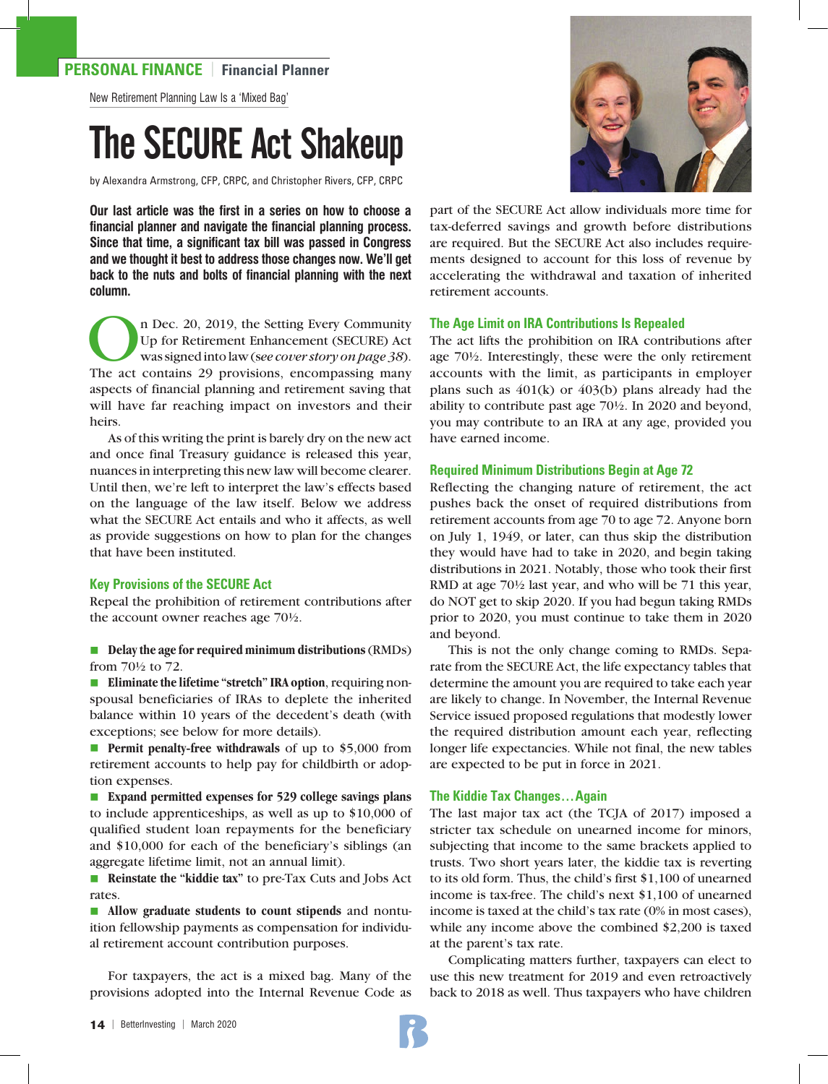# **PERSONAL FINANCE** | **Financial Planner**

New Retirement Planning Law Is a 'Mixed Bag'

# The SECURE Act Shakeup

by Alexandra Armstrong, CFP, CRPC, and Christopher Rivers, CFP, CRPC

**Our last article was the first in a series on how to choose a financial planner and navigate the financial planning process. Since that time, a significant tax bill was passed in Congress and we thought it best to address those changes now. We'll get back to the nuts and bolts of financial planning with the next column.** 

The Dec. 20, 2019, the Setting Every Community<br>Up for Retirement Enhancement (SECURE) Act<br>was signed into law (see cover story on page 38).<br>The act contains 29 provisions, encompassing many Up for Retirement Enhancement (SECURE) Act was signed into law (s*ee cover story on page 38*). The act contains 29 provisions, encompassing many aspects of financial planning and retirement saving that will have far reaching impact on investors and their heirs.

As of this writing the print is barely dry on the new act and once final Treasury guidance is released this year, nuances in interpreting this new law will become clearer. Until then, we're left to interpret the law's effects based on the language of the law itself. Below we address what the SECURE Act entails and who it affects, as well as provide suggestions on how to plan for the changes that have been instituted.

#### **Key Provisions of the SECURE Act**

Repeal the prohibition of retirement contributions after the account owner reaches age 70½.

**n** Delay the age for required minimum distributions (RMDs) from 70½ to 72.

■ **Eliminate the lifetime "stretch" IRA option**, requiring nonspousal beneficiaries of IRAs to deplete the inherited balance within 10 years of the decedent's death (with exceptions; see below for more details).

**n Permit penalty-free withdrawals** of up to \$5,000 from retirement accounts to help pay for childbirth or adoption expenses.

■ **Expand permitted expenses for 529 college savings plans** to include apprenticeships, as well as up to \$10,000 of qualified student loan repayments for the beneficiary and \$10,000 for each of the beneficiary's siblings (an aggregate lifetime limit, not an annual limit).

■ **Reinstate the "kiddie tax"** to pre-Tax Cuts and Jobs Act rates.

**n Allow graduate students to count stipends** and nontuition fellowship payments as compensation for individual retirement account contribution purposes.

For taxpayers, the act is a mixed bag. Many of the provisions adopted into the Internal Revenue Code as



part of the SECURE Act allow individuals more time for tax-deferred savings and growth before distributions are required. But the SECURE Act also includes requirements designed to account for this loss of revenue by accelerating the withdrawal and taxation of inherited retirement accounts.

#### **The Age Limit on IRA Contributions Is Repealed**

The act lifts the prohibition on IRA contributions after age 70½. Interestingly, these were the only retirement accounts with the limit, as participants in employer plans such as  $401(k)$  or  $403(b)$  plans already had the ability to contribute past age 70½. In 2020 and beyond, you may contribute to an IRA at any age, provided you have earned income.

#### **Required Minimum Distributions Begin at Age 72**

Reflecting the changing nature of retirement, the act pushes back the onset of required distributions from retirement accounts from age 70 to age 72. Anyone born on July 1, 1949, or later, can thus skip the distribution they would have had to take in 2020, and begin taking distributions in 2021. Notably, those who took their first RMD at age 70½ last year, and who will be 71 this year, do NOT get to skip 2020. If you had begun taking RMDs prior to 2020, you must continue to take them in 2020 and beyond.

This is not the only change coming to RMDs. Separate from the SECURE Act, the life expectancy tables that determine the amount you are required to take each year are likely to change. In November, the Internal Revenue Service issued proposed regulations that modestly lower the required distribution amount each year, reflecting longer life expectancies. While not final, the new tables are expected to be put in force in 2021.

#### **The Kiddie Tax Changes…Again**

The last major tax act (the TCJA of 2017) imposed a stricter tax schedule on unearned income for minors, subjecting that income to the same brackets applied to trusts. Two short years later, the kiddie tax is reverting to its old form. Thus, the child's first \$1,100 of unearned income is tax-free. The child's next \$1,100 of unearned income is taxed at the child's tax rate (0% in most cases), while any income above the combined \$2,200 is taxed at the parent's tax rate.

Complicating matters further, taxpayers can elect to use this new treatment for 2019 and even retroactively back to 2018 as well. Thus taxpayers who have children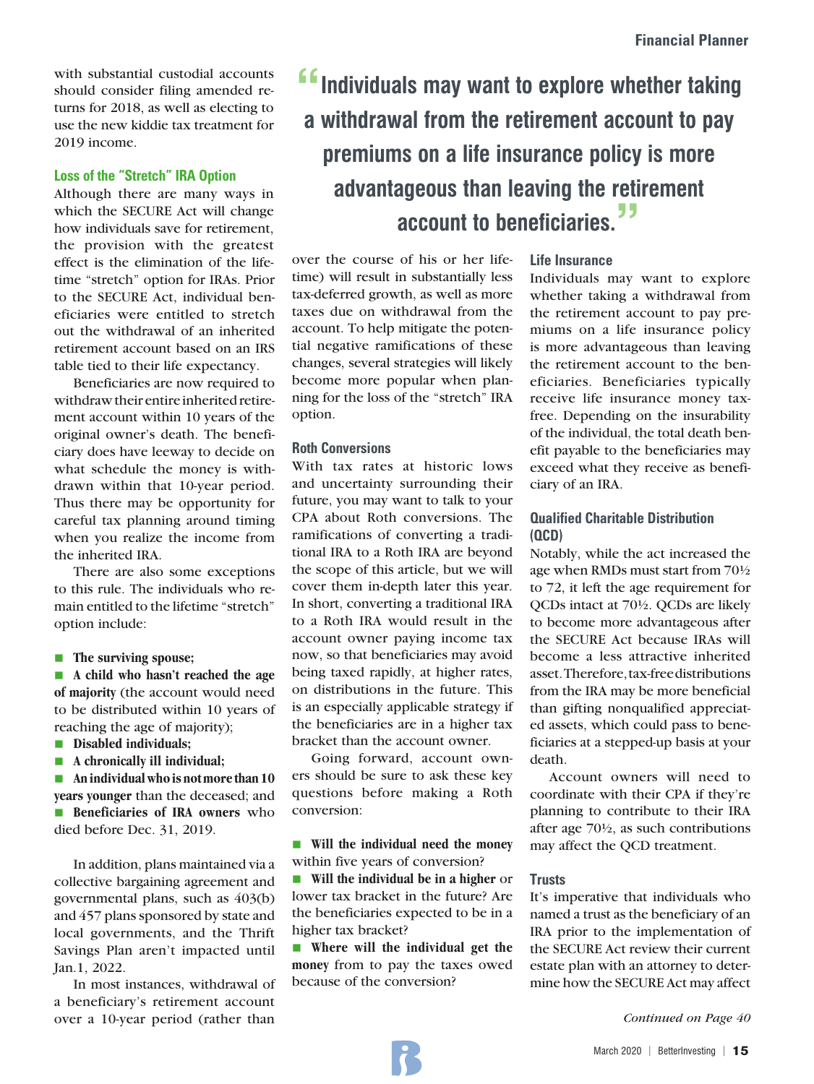with substantial custodial accounts should consider filing amended returns for 2018, as well as electing to use the new kiddie tax treatment for 2019 income.

# **Loss of the "Stretch" IRA Option**

Although there are many ways in which the SECURE Act will change how individuals save for retirement, the provision with the greatest effect is the elimination of the lifetime "stretch" option for IRAs. Prior to the SECURE Act, individual beneficiaries were entitled to stretch out the withdrawal of an inherited retirement account based on an IRS table tied to their life expectancy.

Beneficiaries are now required to withdraw their entire inherited retirement account within 10 years of the original owner's death. The beneficiary does have leeway to decide on what schedule the money is withdrawn within that 10-year period. Thus there may be opportunity for careful tax planning around timing when you realize the income from the inherited IRA.

There are also some exceptions to this rule. The individuals who remain entitled to the lifetime "stretch" option include:

#### **n** The surviving spouse;

**n** A child who hasn't reached the age **of majority** (the account would need to be distributed within 10 years of reaching the age of majority);

- **n Disabled** individuals;
- **n** A chronically ill individual;

**n** An individual who is not more than 10 **years younger** than the deceased; and **n Beneficiaries of IRA owners** who died before Dec. 31, 2019.

In addition, plans maintained via a collective bargaining agreement and governmental plans, such as 403(b) and 457 plans sponsored by state and local governments, and the Thrift Savings Plan aren't impacted until Jan.1, 2022.

In most instances, withdrawal of a beneficiary's retirement account over a 10-year period (rather than

# **"**Individuals may want to explore whether taking **a withdrawal from the retirement account to pay premiums on a life insurance policy is more advantageous than leaving the retirement account to beneficiaries."**

over the course of his or her lifetime) will result in substantially less tax-deferred growth, as well as more taxes due on withdrawal from the account. To help mitigate the potential negative ramifications of these changes, several strategies will likely become more popular when planning for the loss of the "stretch" IRA option.

## **Roth Conversions**

With tax rates at historic lows and uncertainty surrounding their future, you may want to talk to your CPA about Roth conversions. The ramifications of converting a traditional IRA to a Roth IRA are beyond the scope of this article, but we will cover them in-depth later this year. In short, converting a traditional IRA to a Roth IRA would result in the account owner paying income tax now, so that beneficiaries may avoid being taxed rapidly, at higher rates, on distributions in the future. This is an especially applicable strategy if the beneficiaries are in a higher tax bracket than the account owner.

Going forward, account owners should be sure to ask these key questions before making a Roth conversion:

**n Will the individual need the money** within five years of conversion?

n **Will the individual be in a higher** or lower tax bracket in the future? Are the beneficiaries expected to be in a higher tax bracket?

n **Where will the individual get the money** from to pay the taxes owed because of the conversion?

# **Life Insurance**

Individuals may want to explore whether taking a withdrawal from the retirement account to pay premiums on a life insurance policy is more advantageous than leaving the retirement account to the beneficiaries. Beneficiaries typically receive life insurance money taxfree. Depending on the insurability of the individual, the total death benefit payable to the beneficiaries may exceed what they receive as beneficiary of an IRA.

# **Qualified Charitable Distribution (QCD)**

Notably, while the act increased the age when RMDs must start from 70½ to 72, it left the age requirement for QCDs intact at 70½. QCDs are likely to become more advantageous after the SECURE Act because IRAs will become a less attractive inherited asset. Therefore, tax-free distributions from the IRA may be more beneficial than gifting nonqualified appreciated assets, which could pass to beneficiaries at a stepped-up basis at your death.

Account owners will need to coordinate with their CPA if they're planning to contribute to their IRA after age 70½, as such contributions may affect the QCD treatment.

## **Trusts**

It's imperative that individuals who named a trust as the beneficiary of an IRA prior to the implementation of the SECURE Act review their current estate plan with an attorney to determine how the SECURE Act may affect

*Continued on Page 40*